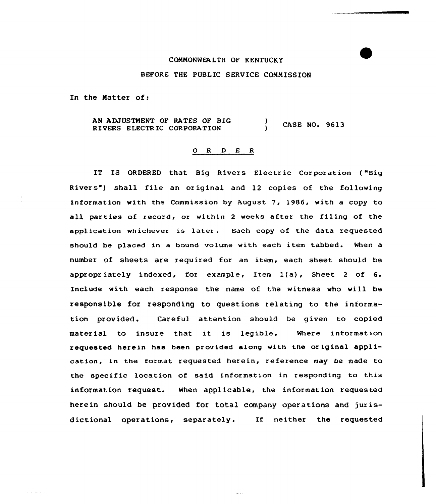### COMMONWEALTH OF KENTUCKY

## BEFORE THE PUBLIC SERVICE COMMISSION

In the Matter of:

 $\mathbf{a}$  , and  $\mathbf{a}$  , and  $\mathbf{a}$  , and  $\mathbf{a}$  , and  $\mathbf{a}$  , and  $\mathbf{a}$ 

AN ADJUSTNENT OF RATES OF BIG AN ADJUSTMENT OF RATES OF BIG (a) CASE NO. 9613<br>RIVERS ELECTRIC CORPORATION (b)

### 0 R <sup>D</sup> E R

IT IS ORDERED that Big Rivers Electric Corporation ("Big Rivers") shall file an original and 12 copies of the following information with the Commission by August 7, 1986, with a copy to all parties of record, or within <sup>2</sup> weeks after the filing of the application whichever is later. Each copy of the data requested should be placed in a bound volume with each item tabbed. When a number of sheets are required for an item, each sheet should be appropr iately indexed, for example, Item 1(a), Sheet <sup>2</sup> of 6. Include vith each response the name of the witness vho vill be responsible for responding to questions relating to the information provided. Careful attention should be given to copied material to insure that it is legible. Where information requested herein has been provided along with the original application, in the format requested herein, reference may be made to the specific location of said information in responding to this information request. When applicable, the information requested herein should be provided for total company operations and jurisdictional operations, separately. If neither the requested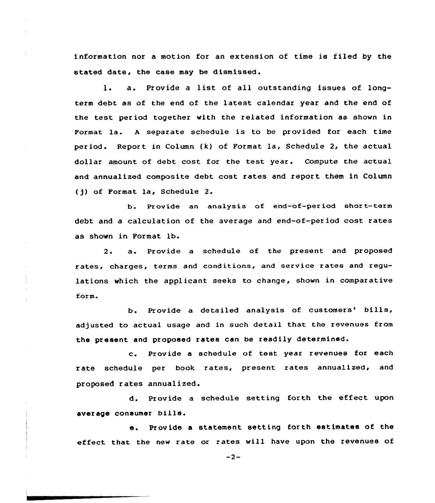information nor a motion for an extension of time is filed by the stated date, the case may be dismissed.

l. a. Provide <sup>a</sup> list of all outstanding issues of longterm debt as of the end of the latest calendar year and the end of the test period together with the related information as shown in Format la. <sup>A</sup> separate schedule is to be provided for each time period. Report in Column (k) of Format la, Schedule 2, the actual dollar amount of debt cost for the test year. Compute the actual and annualized composite debt cost rates and report them in Column (jj of Format la, Schedule 2.

b. Provide an analysis of end-of-period short-term debt and a calculation of the average and end-of-period cost rates as shown in Format lb.

2. a. Provide <sup>a</sup> schedule of the present and proposed rates, charges, terms and conditions, and service rates and regulations which the applicant seeks to change, shown in comparative form.

b. Provide a detailed analysis of customers' bills, adjusted to actual usage and in such detail that the revenues from the present and proposed rates can be readily determined.

c. Provide <sup>a</sup> schedule of test year revenues for each rate schedule per book rates, present rates annualized, and proposed rates annualized.

d. Provide <sup>a</sup> schedule setting forth the effect upon average consumer bills.

e. Provide <sup>a</sup> statement setting forth estimates of the effect that the new rate or rates will have upon the revenues of

 $-2-$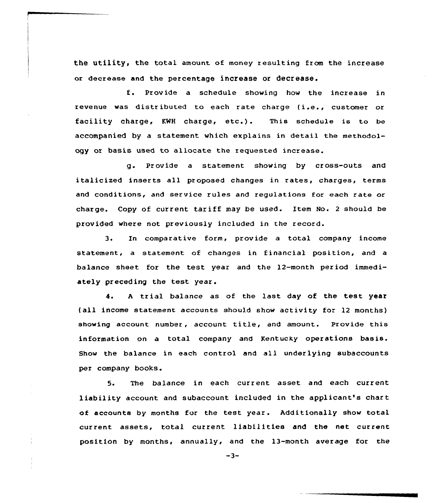the utility, the total amount of money resulting from the increase or decrease and the percentage increase or decrease.

f. Provide <sup>a</sup> schedule showing how the increase in revenue was distributed to each rate charge (i.e., customer or facility charge, KNH charge, etc.). This schedule is to be accompanied by a statement which explains in detail the methodology or basis used to allocate the requested increase.

g. Provide a statement showing by cross-outs and italicized inserts all proposed changes in rates, charges, terms and conditions, and service rules and regulations for each rate or charge. Copy of current tariff may be used. Item No. <sup>2</sup> should be provided where not previously included in the record.

3. In comparative form, provide a total company income statement, a statement of changes in financial position, and a balance sheet for the test year and the 12-month period immediately preceding the test year.

4. A trial balance as of the last day of the test year (all income statement accounts should show activity for 12 months) showing account number, account title, and amount. Provide this information on a total company and Kentucky operations basis. Show the balance in each control and all underlying subaccounts per company books.

5. The balance in each current asset and each current liability account and subaccount included in the applicant's chart of accounts by months for the test year. Additionally show total current assets, total current liabilities and the net current position by months, annually, and the 13-month average for the

 $-3-$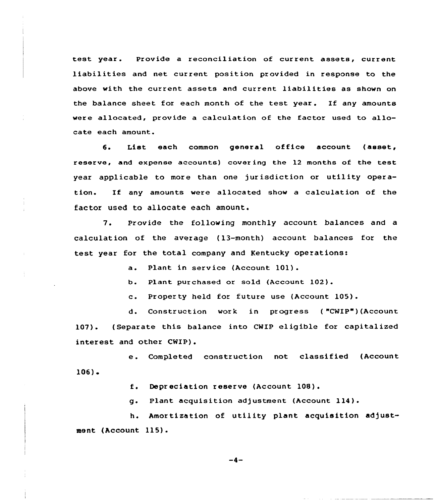test year. Provide a reconciliation of current assets, current liabilities and net current position provided in response to the above with the current assets and current liabilities as shown on the balance sheet for each month of the test year. If any amounts were allocated, provide a calculation of the factor used to allocate each amount.

6. List each common general office account (asset, reserve, and expense accounts) covering the 12 months of the test year applicable to more than one jurisdiction or utility operation. If any amounts were allocated show <sup>a</sup> calculation of the factor used to allocate each amount.

7. Provide the following monthly account balances and <sup>a</sup> calculation of the avezage (13-month) account balances foz the test year for the total company and Kentucky operations:

a. Plant in service (Account 101).

b. Plant purchased or sold (Account 102).

c. Property held for future use (Account 105).

d. Construction work in progress ( "CWIP")(Account 107). ( Separate this balance into CWIP eligible for capitalized interest and other CWIP).

e. Completed construction not classified (Account 106)

f. Depr eciation <sup>r</sup> eserve (Account 108) .

g. Plant acquisition adjustment (Account 114).

h. Amortization of utility plant acquisition adjustment (Account 115).

-4-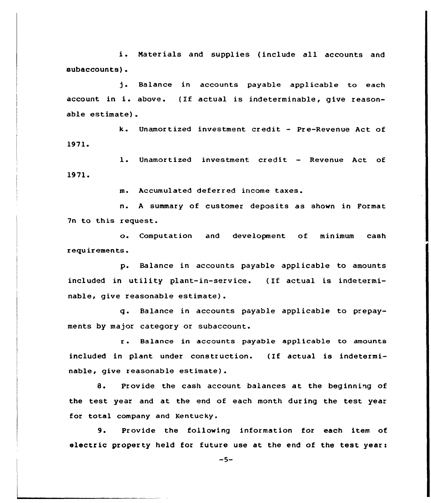i. Materials and supplies {include all accounts and subaccounts).

j. Balance in accounts payable applicable to each account in i. above. {If actual is indeterminable, give reasonable estimate) .

k. Unamortized investment credit — Pre-Revenue Act of 1971. account in 1.<br>
able estimate)<br>
k.<br>
1971.<br>
1.<br>
1971.<br>
m.<br>
n.

l. Unamortized investment credit — Revenue Act of

m. Accumulated deferred income taxes.

n. <sup>A</sup> summary of customer deposits as shown in Format 7n to this request.

o. Computation and development of minimum cash requirements.

p. Balance in accounts payable applicable to amounts included in utility plant-in-service. (If actual is indeterminable, give reasonable estimate}.

q. Balance in accounts payable applicable to prepayments by major category or subaccount.

<sup>r</sup> . Balance in accounts payable appl icable to amounts included in plant under construction. (If actual is indeterminable, give reasonable estimate).

8. Provide the cash account balances at the beginning of the test year and at the end of each month during the test year for total company and Kentucky.

9. Provide the following information for each item of electric property held for future use at the end of the test years

 $-5-$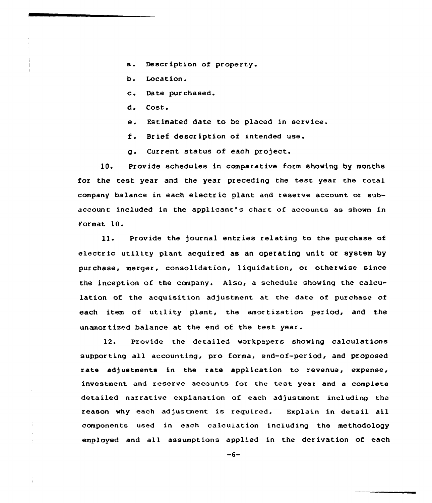- a. Description of property.
- b. Location.
- c. Date pur chased.
- d. Cost.
- e. Estimated date to be placed in service.
- f. Brief description of intended use.
- g. Current status of each project.

10. Provide schedules in comparative form showing by months for the test year and the year preceding the test year the total company balance in each electric plant and xeserve account or subaccount included in the applicant's chart of accounts as shown in Poxmat 10.

11. Provide the journal entxies relating to the purchase of electric utility plant acquired as an operating unit or system by purchase, merger, consolidation, liquidation, or otherwise since the inception of the company. Also, a schedule showing the calculation of the acquisition adjustment at the date of purchase of each item of utility plant, the amortization period, and the unamor tized balance at the end of the test year.

12. Provide the detailed workpapers showing calculations supporting all accounting, pro forma, end-of-per iod, and proposed rate adjustments in the rate application to revenue, expense, investment and reserve accounts for the test year and a complete detailed narrative explanation of each adjustment including the reason why each adjustment is required. Explain in detail all components used in each calculation including the methodology employed and all assumptions appl'ed in the derivation of each

 $-6-$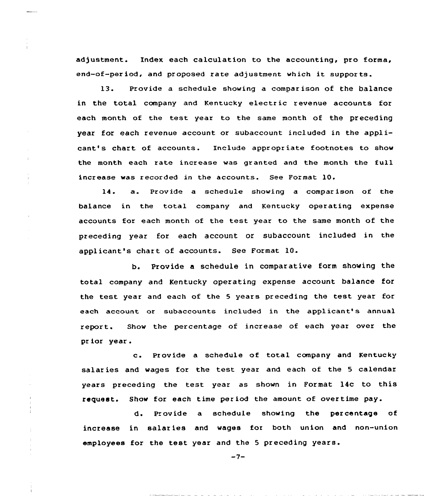adjustment. Index each calculation to the accounting, pro forma, end-of-per iod, and pr oposed rate adjustment which it suppor ts.

13. Provide a schedule showing a compar ison of the balance in the total company and Kentucky electric revenue accounts for each month of the test year to the same month of the preceding year for each revenue account or subaccount included in the applicant's chart of accounts. Include appropriate footnotes to show the month each rate increase was granted and the month the full increase was recorded in the accounts. See Format 10.

14. a. Provide <sup>a</sup> schedule showing <sup>a</sup> compar ison of the balance in the total company and Kentucky operating expense accounts for each month of the test year to the same month of the preceding year for each account or subaccount included in the applicant's chart of accounts. See Format 10.

b. Provide a schedule in comparative form showing the total company and Kentucky operating expense account balance for the test year and each of the <sup>5</sup> years preceding the test year for each account or subaccounts included in the applicant's annual repor t. Show the percentage of increase of each year over the pr ior year .

c. Provide <sup>a</sup> schedule of total company and Kentucky salar ies and wages for the test year and each of the 5 calendar years preceding the test year as shown in Format 14c to this request. Show for each time period the amount of overtime pay.

d. Provide a schedule showing the percentage of increase in salaries and wages for both union and non-union employees for the test year and the <sup>5</sup> preceding years.

 $-7-$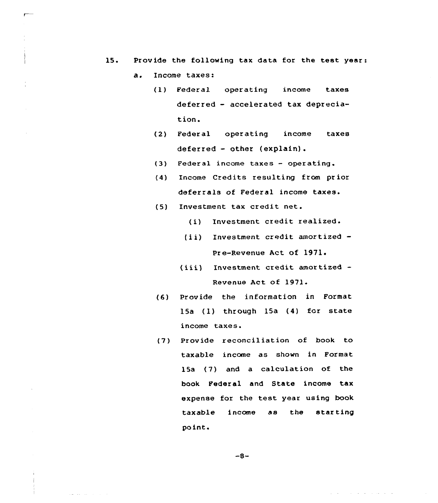- 15. Provide the following tax data for the test year:
	- $a<sub>z</sub>$ Income taxes:
		- (1) Federal operating income taxes deferred — accelerated tax depreciation.
		- (2) Federal operating income taxes deferred — other (explain).
		- {3) Federal income taxes operating.
		- (4) Income Credits resulting from prior deferrals of Federal income taxes.
		- (5) Investment tax credit net.
			- (i) Investment credit realized.
			- (ii) Investment credit amortized -Pre-Revenue Act of 1971
			- (iii) Investment credit amortized -Revenue Act of 1971.
		- (6) Provide the information in Format 15a (1) through 15a (4) for state income taxes.
		- {7) Provide reconciliation of book to taxable income as shown in Format 15a (7) and a calculation of the book Federal and State income tax expense for the test year using book taxable income as the starting po int.

 $-8-$ 

and the common

<u>Single Service Communication</u>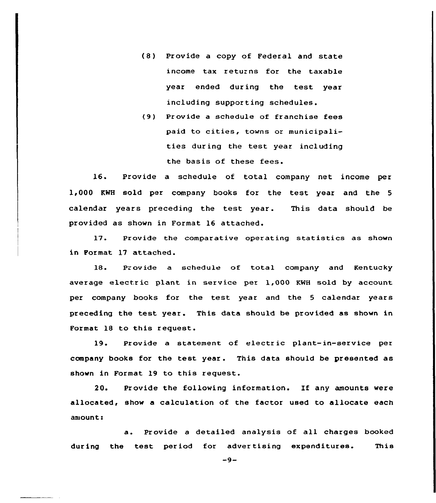- (8) Provide a copy of Federal and state income tax returns for the taxable year ended during the test year including suppor ting schedules.
- (9) Provide a schedule of franchise fees paid to cities, towns or municipalities during the test year including the basis of these fees.

16. Provide a schedule of total company net income per 1,000 KWH sold per company books for the test year and the <sup>5</sup> calendar years preceding the test year. This data should be provided as shown in Format 16 attached.

17. Provide the comparative operating statistics as shown in Format 17 attached.

18. Provide a schedule of total company and Kentucky average electric plant in service per 1,000 KWH sold by account per company books for the test year and the <sup>5</sup> calendar years preceding the test year. This data should be provided as shown in Format 1S to this request.

19. Provide a statement of electric plant-in-service per company books for the test year. This data should be presented as shown in Format 19 to this request.

20. Provide the following information. If any amounts were allocated, show a calculation of the factor used to allocate each amount:

a. Provide <sup>a</sup> detailed analysis of all charges booked during the test period for advertising expenditures. This

 $-9-$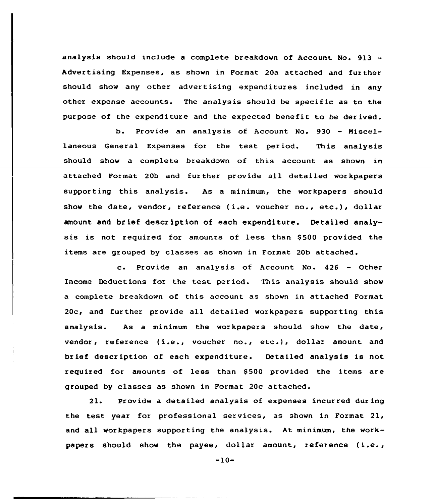analysis should include a complete breakdown of Account No. 913 -Advertising Expenses, as shown in Format 20a attached and further should show any other advertising expenditures included in any other expense accounts. The analysis should be specific as to the purpose of the expenditure and the expected benefit to be der ived.

b. Provide an analysis of Account No. <sup>930</sup> - Miscellaneous General Expenses for the test per iod. This analysis should show a complete breakdown of this account as shown in attached Format, 20b and further provide all detailed workpapers supporting this analysis. As a minimum, the workpapers should show the date, vendor, reference (i.e. voucher no., etc.), dollar amount and brief description of each expenditure. Detailed analysis is not required for amounts of less than \$ 500 provided the items aze grouped by classes as shown in Format 20b attached.

c. Provide an analysis of Account No. <sup>426</sup> — Other Income Deductions for the test, period. This analysis should show a complete breakdown of this account as shown in attached Format 20c, and further provide all detailed workpapers supporting this analysis. As a minimum the workpapezs should show the date, vendor, reference (i.e., voucher no., etc.), dollar amount and brief description of each expenditure. Detailed analysis is not required for amounts of less than \$500 provided the items are grouped by classes as shown in Format 20c attached.

21. Provide a detailed analysis of expenses incurred during the test year for professional services, as shown in Format 21, and all workpapers supporting the analysis. At minimum, the workpapers should show the payee, dollar amount, reference (i.e.,

 $-10-$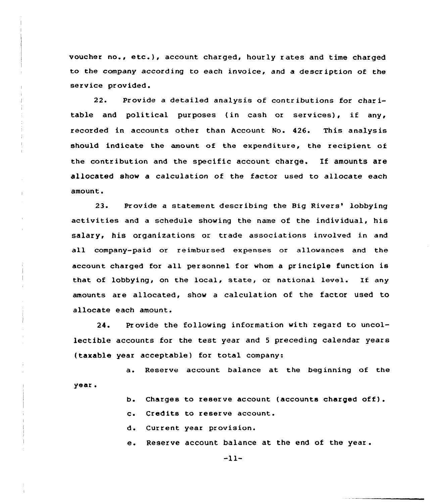voucher no., etc.), account charged, hourly <sup>r</sup> ates and time charged to the company according to each invoice, and a descr iption of the service provided.

22. Provide a detailed analysis of contributions for charitable and political purposes (in cash or services), if any, recorded in accounts other than Account No. 426. This analysis should indicate the amount of the expenditure, the recipient of the contr ibution and the specific account charge. If amounts are allocated show a calculation of the factor used to allocate each amount,

23. Provide a statement describing the Big Rivers' lobbying activities and a schedule showing the name of the individual, his salary, his organizations or trade associations involved in and all company-paid or reimbursed expenses or allowances and the account charged for all personnel for whom a principle function is that of lobbying, on the local, state, or national level. If any amounts are allocated, show a calculation of the factor used to allocate each amount.

24. Provide the following information with regard to uncollectible accounts for the test year and <sup>5</sup> preceding calendar years (taxable year acceptable) for total company:

a. Reserve account balance at the beginning of the year.

- b. Charges to reserve account (accounts charged off).
- c. Credits to reserve account.

d. Current year provision.

e. Reserve account balance at the end of the year .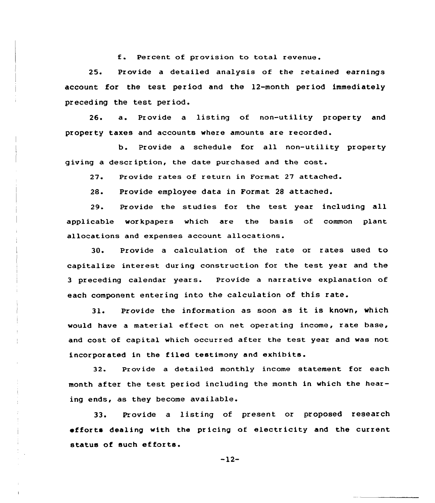f. Percent of provision to total revenue.

25. Provide a detailed analysis of the retained earnings account for the test period and the 12-month period immediately preceding the test period.

26. a. Provide <sup>a</sup> listing of non-utility property and property taxes and accounts where amounts are recorded.

b. Provide a schedule for all non-utility property giving a description, the date purchased and the cost.

27. Provide rates of return in Format 27 attached.

2S. Provide employee data in Format 28 attached.

29. Provide the studies for the test year including all applicable workpapers which are the basis of common plant allocations and expenses account allocations.

30. Provide a calculation of the rate or rates used to capitalize interest during construction for the test year and the <sup>3</sup> preceding calendar years. Provide a narrative explanation of each component entering into the calculation of this rate.

31. Provide the information as soon as it is known, which would have a material effect on net operating income, rate base, and cost of capital which occurred after the test year and was not incorporated in the filed testimony and exhibits.

32. Provide a detailed monthly income statement for each month after the test period including the month in which the hearing ends, as they become available.

33. Provide a listing of present or proposed research efforts dealing with the pricing of electricity and the current status of such efforts.

 $-12-$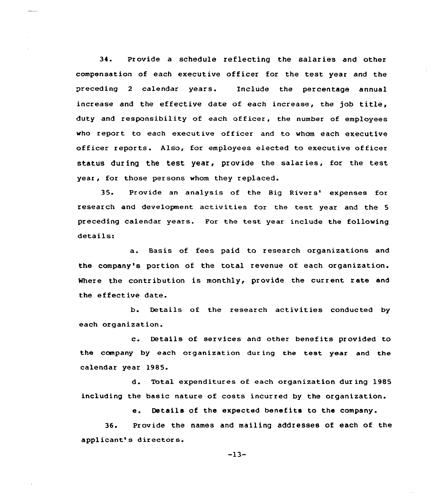34. Provide a schedule reflecting the salaries and other compensation of each executive officer for the test year and the preceding <sup>2</sup> calendar years. Include the percentage annual increase and the effective date of each increase, the job title, duty and responsibility of each officer, the number of employees who report to each executive officer and to whom each executive officer reports. Also, for employees elected to executive officer status during the test year, provide the salaries, for the test year, for those persons whom they replaced.

35. Provide an analysis of the Big Rivers' expenses for research and development activities for the test year and the <sup>5</sup> preceding calendar years. For the test year include the following details:

a. Basis of fees paid to research organizations and the company's portion of the total revenue of each organization. Where the contribution is monthly, provide the current rate and the effective date.

b. Details of the research activities conducted by each organization.

c. Details of services and other benefits provided to the company by each organization during the test year and the calendar year 1985.

d. Total expenditures of each organization dur ing 1985 including the basic nature of costs incurred by the organization.

e. Details of the expected benefits to the company.

36. Provide the names and mailing addresses of each of the applicant's directors.

-13-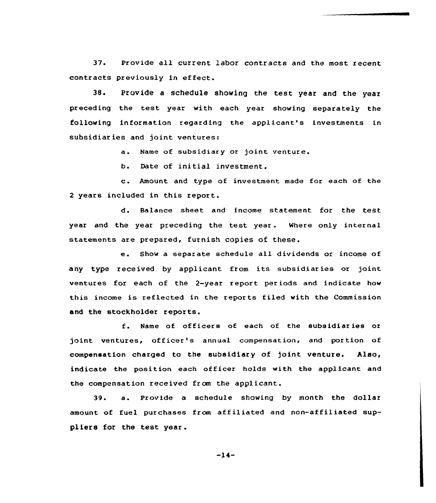37. Provide all current labor contracts and the most recent contracts previously in effect.

38. Provide a schedule showing the test year and the year preceding the test year with each year showing separately the following information regarding the applicant's investments in subsidiar ies and joint ventures:

a. Name of subsidiary or joint venture.

b. Date of initial investment.

c. Amount and type of investment made for each of the <sup>2</sup> years included in this report.

d. Balance sheet and income statement for the test year and the year preceding the test year. Where only internal statements are prepared, furnish copies of these.

e. Show <sup>a</sup> separate schedule all dividends or income of any type received by applicant from its subsidiaries or joint ventures for each of the 2-year report periods and indicate how this income is reflected in the reports filed with the Commission and the stockholder reports.

f. Name of officers of each of the subsidiaries or joint ventures, officer's annual compensation, and portion of compensation charged to the subsidiary of joint venture. Also, indicate the position each officer holds with the applicant and the compensation received from the applicant.

39. a. Provide <sup>a</sup> schedule showing by month the dollar amount of fuel purchases from affiliated and non-affiliated suppliers for the test year.

 $-14-$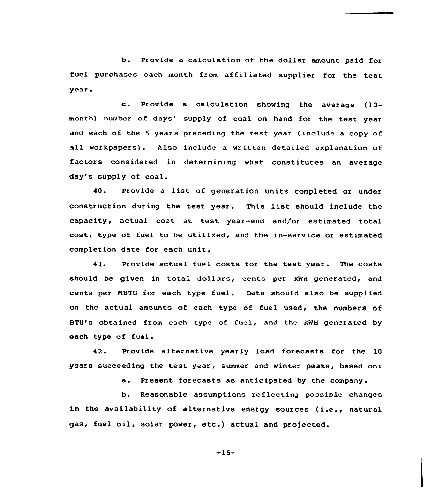b. Pr ovide a calculation of the dollar amount paid for fuel purchases each month from affiliated supplier for the test year .

c. Provide <sup>a</sup> calculation showing the average (13 month) number of days' supply of coal on hand for the test year and each of the 5 years preceding the test year (include a copy of all workpapers). Also include a written detailed explanation of factors considered in determining what constitutes an average day's supply of coal.

40. pxovide <sup>a</sup> list of generation units completed or under construction during the test year. This list should include the capacity, actual cost at test year-end and/or estimated total cost, type of fuel to be utilized, and the in-service or estimated completion date for each unit.

41. Provide actual fuel costs for the test year. The costs should be given in total do11ars, cents per KWH generated, and cents per NBTU for each type fuel. Data should also be supplied on the actual amounts of each type of fuel used, the numbers of BTU's obtained from each type of fuel, and the KWH generated by each type of fuel.

42. Provide alternative yearly load forecasts for the 10 years succeeding the test year, summer and winter peaks, based on:

a. Present forecasts as anticipated by the company.

b. Reasonable assumptions reflecting possible changes in the availability of alternative energy sources (i.e., natural gas, fuel oil, solar powex, etc.) actual and projected.

-15-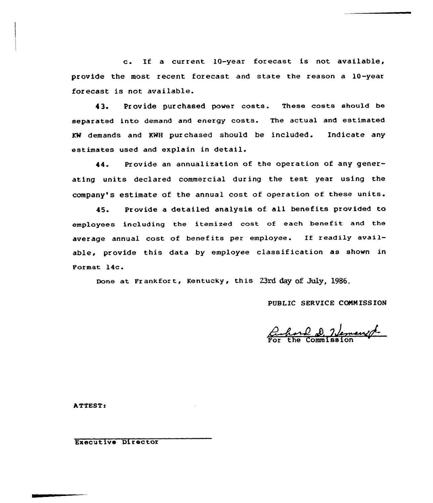c. If <sup>a</sup> current 10-year forecast is not available, provide the most recent forecast and state the reason a 10-year forecast is not available.

43. Provide purchased power costs. These costs should be separated into demand and energy costs. The actual and estimated KW demands and KWH purchased should be included. Indicate any estimates used and explain in detail.

44. Provide an annualization of the operation of any generating units declared commercial during the test year using the company's estimate of the annual cost of operation of these units.

45. Provide a detailed analysis of all benefits provided to employees including the itemized cost of each benefit and the average annual cost of benefits per employee. If readily available, provide this data by employee classification as shown in Format 14c.

Done at Frankfort, Kentucky, this 23rd day of July, 1986.

PUBLIC SERVICE COMMISSION

Ichard D. Hemanist

ATTEST<

Executive Director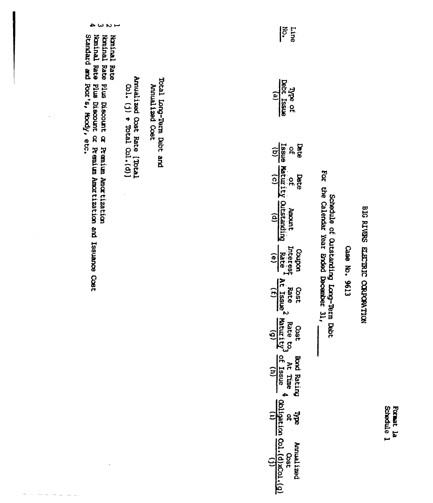Case No. 9613

Schedule of Quetanding Long-Term Dabt<br>For the Calendar Year Ended December 31,

| <b>Dype of</b><br>Debt Issue<br>Dept Issue                               |
|--------------------------------------------------------------------------|
| $rac{1}{\sqrt{10}}\frac{1}{2}$<br>$rac{1}{\sqrt{10}}\frac{1}{\sqrt{10}}$ |
| Bate<br>Varuzit)<br>Varuzit)                                             |
| Amount<br>utstandir<br>(d)                                               |
| Coupon<br>Interest<br>Rate<br>(e)                                        |
| Cost<br><b>NE ISSNE</b><br><b>NE ISSNE</b>                               |
| Cost<br>Raturity<br>Anturity                                             |
| Aood Rating<br>At Time<br>of Issue                                       |
|                                                                          |
| C(X(0), C)<br>zi Jenu<br><b>USSC</b>                                     |

Line<br>No.

Total Long-Term Debt and Annualized Cost

Annualized Cost Rate [Total<br>  $\cos 1$ , (j)  $\div$  Total  $\cos 1$ , (d)]

 $\ddot{\phantom{0}}$ 

÷,

 $\sim$  100  $\sim$  100  $\sim$ 

Nominal Rate<br>Nominal Rate Plus Discount or Premium Amortization<br>Nominal Rate Plus Discount or Premium Amortization and Issuance Cost<br>Standard and Poor's, Moody, etc.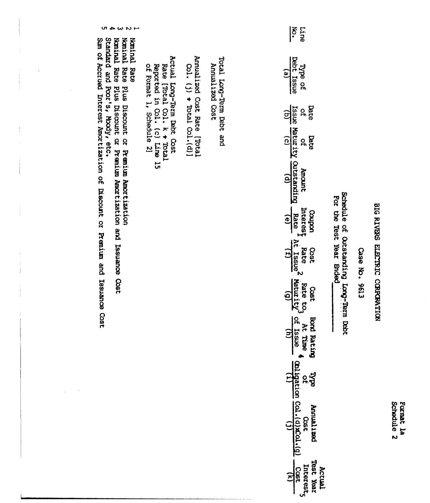| のものりー                                                                                                                                                                                                                                                                                                                                                                                                                      |                                                                                                                        |                                                                 |                                              | $\widetilde{\delta}$<br>Line                                                                                                                                                                                                                                                                                                                                                                                                                                                                                                                                                                                                                            |                                                                                                              |               |                                 |
|----------------------------------------------------------------------------------------------------------------------------------------------------------------------------------------------------------------------------------------------------------------------------------------------------------------------------------------------------------------------------------------------------------------------------|------------------------------------------------------------------------------------------------------------------------|-----------------------------------------------------------------|----------------------------------------------|---------------------------------------------------------------------------------------------------------------------------------------------------------------------------------------------------------------------------------------------------------------------------------------------------------------------------------------------------------------------------------------------------------------------------------------------------------------------------------------------------------------------------------------------------------------------------------------------------------------------------------------------------------|--------------------------------------------------------------------------------------------------------------|---------------|---------------------------------|
| Standard and Poor's, Moody, etc.<br>common cost here the contract in the contract in the cost of the cost of the cost of the cost of the cost of the cost of the cost of the cost of the cost of the cost of the cost of the cost of the cost of the cost of the c<br>Noninal Rate Plus Discount or Premium Amortization<br>Nontral<br>Nominal Rate Plus Discount or Premium Amortization and Issuance Cost<br><b>Rate</b> | Actual Long-Term Debt Cost<br>Rate [Total Col. k $*$ Total<br>Reported in Col. (c) Line 15<br>of Format 1, Schedule 2] | Annualized Cost Rate [Total<br>$\cot$ (j) + Total $\cot$ , (d)] | Total Long-Term Debt and<br>Annual 1260 Cost | Type of<br>Debt_Issue<br>$\mathbf{e}$<br>Issue Maturity outstanding<br>(b) (c) (c)<br>Date<br>o<br>F<br>$\widehat{c}$<br><b>Bata</b><br>of<br>Amount<br>Interest<br>uodroo<br>Rate<br>$\frac{1}{\sqrt{6}}$<br>י<br>קן<br>Rate<br>Cost<br>$\frac{1}{(f)}\frac{2}{\sqrt{f}}$<br>Rate to <sub>3</sub><br>Maturity <sup>3</sup><br><b>SSC</b><br>의<br>At Time $\tilde{\mathbf{q}} = \frac{\tilde{\mathbf{q}}\tilde{\mathbf{r}}}{\text{minimize}} \mathbf{q} = \frac{\tilde{\mathbf{q}}\tilde{\mathbf{q}}}{\text{minimize}} \begin{pmatrix} \cos t & \cos t \\ \cos t & \cos t & \cos t \end{pmatrix}$<br>Bord Rating<br>ಕಿತ್ತ<br>Interest,<br>Cost<br>$\Xi$ | Schedule of Outstanding Long-Term Debt<br>For the Test Year Ended<br><b>houalized</b><br>Actual<br>Test Year | Case No. 9613 | BIG RIVERS ELECTRIC CORPORATION |

Numinal Rate Plus Discount or Premium Amortization<br>Numinal Rate Plus Discount or Premium Amortization and Issuance Cost<br>Standard and Poor's, Moody, etc.<br>Sum of Accrued Interest Amortization of Discount or Premium and Issua

 $\frac{1}{2}$ 

 $\frac{1}{2}$ 

Format la<br>Schedule 2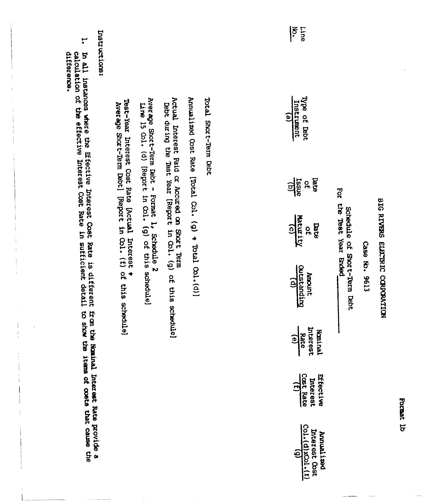| $\tilde{\xi}$<br><b>Line</b> | Type of Babt<br>Annualized Obst Rate [Total Col. (g) + Total Col. (d)]<br>Actual Interest Paid or Accured on Short Term<br>Total Short-Term Debt<br>Instrument<br>$\widehat{e}$ | of<br><u>risale</u><br>ସସ୍<br>For | the Test Year Brood<br>Maturity<br>Bate<br>o | bebt during the Test Year [Report in Col. (g) of this schedule]<br>BIG RIVERS ELECTRIC CORPORATION<br>Schedule of Short-Term Debt<br>Case No. 9613<br>Outstanding<br>Amount<br>$\widehat{\mathsf{e}}$ | Rate<br>(e)<br>Interest<br>Kaninal | Cost Rate<br>Effective<br>Interest<br>3                              | $\frac{(1)}{(1) \cdot \frac{(0)}{(0)}}$<br>Interest Cost<br>Annualized |
|------------------------------|---------------------------------------------------------------------------------------------------------------------------------------------------------------------------------|-----------------------------------|----------------------------------------------|-------------------------------------------------------------------------------------------------------------------------------------------------------------------------------------------------------|------------------------------------|----------------------------------------------------------------------|------------------------------------------------------------------------|
|                              |                                                                                                                                                                                 |                                   |                                              |                                                                                                                                                                                                       |                                    |                                                                      |                                                                        |
|                              |                                                                                                                                                                                 |                                   |                                              |                                                                                                                                                                                                       |                                    |                                                                      |                                                                        |
|                              | Average Short-Term Debt - Format 1, Schedule 2<br>Line 15 Col. (d) [Report in Col. (g) of this schedule]                                                                        |                                   |                                              |                                                                                                                                                                                                       |                                    |                                                                      |                                                                        |
|                              | Test-Year Interest Cost Rate [Actual Interest +<br>Average Short-Term Debt] [Report in Col. (f) of this schedule]                                                               |                                   |                                              |                                                                                                                                                                                                       |                                    |                                                                      |                                                                        |
| Instructions:                |                                                                                                                                                                                 |                                   |                                              |                                                                                                                                                                                                       |                                    |                                                                      |                                                                        |
| ₩,<br>difference.            | calculation of the effective Interest Cost Rate in sufficient detail to show<br>In all instances where the Effective Interest Cost Rate is different                            |                                   |                                              |                                                                                                                                                                                                       | tram the                           | the items of costs that cause the<br>Nominal Interest Rate provide a |                                                                        |

Format 1b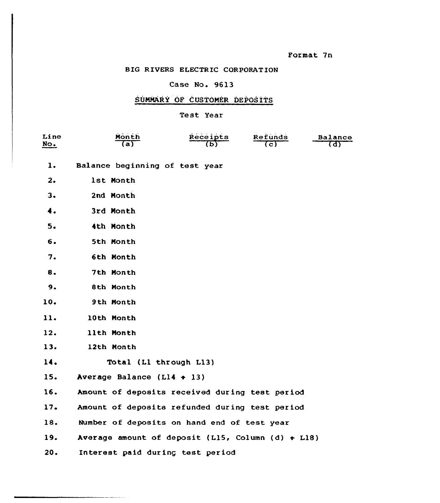## Case No. 9613

## SUMMARY OF CUSTOMER DEPOSITS

## Test Year

| Line<br>No.    | Month                                                  | <b>Receipts</b> | Refunds<br>( c ) | Balance<br>(d) |
|----------------|--------------------------------------------------------|-----------------|------------------|----------------|
| $\mathbf{1}$ . | Balance beginning of test year                         |                 |                  |                |
| 2.             | 1st Month                                              |                 |                  |                |
| 3.             | 2nd Month                                              |                 |                  |                |
| 4.             | 3rd Month                                              |                 |                  |                |
| 5.             | 4th Month                                              |                 |                  |                |
| 6.             | 5th Month                                              |                 |                  |                |
| 7.             | 6th Month                                              |                 |                  |                |
| 8.             | 7th Month                                              |                 |                  |                |
| 9.             | 8th Month                                              |                 |                  |                |
| 10.            | 9th Month                                              |                 |                  |                |
| 11.            | 10th Month                                             |                 |                  |                |
| 12.            | llth Month                                             |                 |                  |                |
| 13.            | 12th Month                                             |                 |                  |                |
| 14.            | Total (Ll through L13)                                 |                 |                  |                |
| 15.            | Average Balance ( $L14 + 13$ )                         |                 |                  |                |
| 16.            | Amount of deposits received during test period         |                 |                  |                |
| 17.            | Amount of deposits refunded during test period         |                 |                  |                |
| 18.            | Number of deposits on hand end of test year            |                 |                  |                |
| 19.            | Average amount of deposit (L15, Column (d) $\div$ L18) |                 |                  |                |
| 20.            | Interest paid during test period                       |                 |                  |                |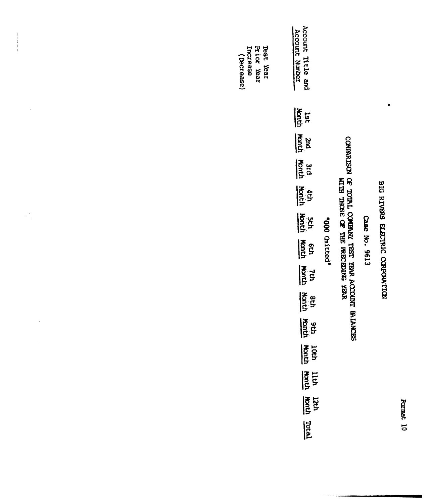$\bullet$ 

Case No. 9613

# COMPARISON OF TOTAL COMPANY TEST VEAR ACCOUNT BALANCES<br>WITH THOSE OF THE PRECEDING YEAR

"000 Onitted"

| Account T<br>Account 1<br>Title and<br>: Number<br>e<br>B |
|-----------------------------------------------------------|
| $\frac{1}{2}$<br>ast                                      |
| <b>Andr</b><br>Basi                                       |
| $\frac{1}{2}$                                             |
| <b>Address</b>                                            |
| $\frac{3}{5}$                                             |
| $\frac{1}{2}$                                             |
| <b>Address</b>                                            |
| $\frac{1}{2}$ or $\frac{1}{2}$                            |
| $\frac{1}{2}$ $\frac{1}{2}$                               |
| 10th<br><b>Hort</b>                                       |
| $\frac{1}{2}$                                             |
| प्रधा<br>प्रधा                                            |
| <u>rotal</u>                                              |

Test Year<br>Prior Near<br>Increase

(Decrease)

 $\frac{1}{1}$ 

 $\ddot{\phantom{0}}$ 

 $\frac{1}{\sqrt{2}}$ 

 $\ddot{\phantom{a}}$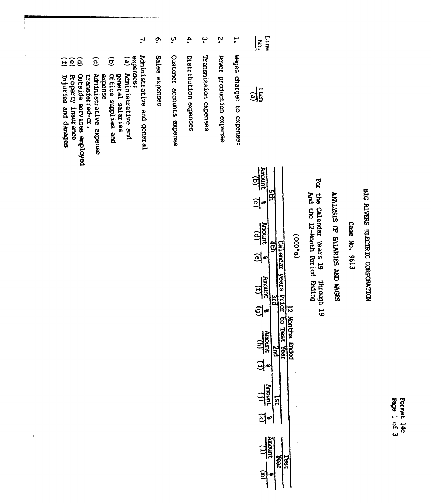Page 1 of 3 Format 14c

## BIG RIVERS ELECTRIC CORPORATION

## Case No. 9613

## AIALISIS OF SALARIES AND WOESS

## For the Calendar Years 19 Through 19<br>And the 12-Month Period Ending

## $\frac{15}{2}$

| $\frac{1}{2}$<br><u>ମ</u><br><b>Rooms</b><br>$\bullet$                                |                               | no no                |
|---------------------------------------------------------------------------------------|-------------------------------|----------------------|
| Amount<br>Amount<br>$\tilde{\mathbf{r}}$<br>ဤ<br>$\frac{19}{\text{unconv}}$<br>Ξ<br>4 | sars<br>ior<br>TO<br>ies<br>® | <b>Months Brided</b> |
| <b>Hutchin</b><br>Ξ<br>ने<br>Amount<br>ί                                              |                               |                      |
| î                                                                                     |                               |                      |

| $\leqslant \frac{1}{2}$ |  |
|-------------------------|--|
| $\frac{1}{2}$           |  |

- $\mathbf{r}$ Wages charged to expense:
- $\ddot{\bm{c}}$ Power production expense
- یب Transnission expenses
- $\ddot{\bullet}$ Distribution expenses
- ុ្រា Custamer accounts expense
- $\ddot{\bullet}$ Sales expenses
- $\mathbf{L}$ Administrative and general
- expenses:
- $\mathbf{e}$
- $\widehat{\sigma}$ Aministrative and<br>general salaries<br>cerice supplies and
- $\widehat{c}$ Administrative expense expense
- Outside services employed transferred-cr.
- GOG Broperty insurance
- Injuries and danages
-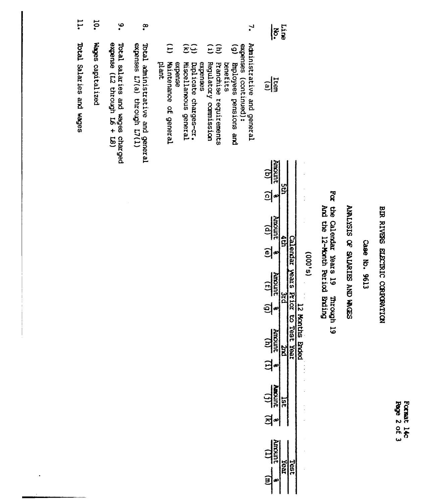| ද්  | o<br>S |
|-----|--------|
| ទ្ទ | ਨੈ     |

## Case No. 9613

## SCEON ON SUNING JO SISSINY

## For the Calendar Years 19 the Calendax Years 19 Through 19<br>And the 12-Month Period Ending

| -    |  |
|------|--|
| 0    |  |
| 8    |  |
|      |  |
|      |  |
| ω    |  |
| ۔۔۔۔ |  |

| $\frac{19}{400}$    |     |      |                |  |
|---------------------|-----|------|----------------|--|
| <u>୍ବ</u>           |     |      | $\ddot{\cdot}$ |  |
| <b>Rupoint</b>      |     |      |                |  |
| l<br>$\bar{\bm{c}}$ |     |      |                |  |
| unoury<br>J         |     |      |                |  |
| é                   |     | ንፒ ኢ |                |  |
| <b>HIDOIN</b><br>:  |     |      | 524<br>Roc     |  |
| j                   |     |      | :<br>:<br>:    |  |
| <b>TITY BRU</b>     | U)  |      | $\ddot{\cdot}$ |  |
| Ì                   |     |      |                |  |
| mann<br>f           | red |      |                |  |
|                     |     |      |                |  |

| $\widehat{\Xi}$        |          | <u>ව</u>               |                       |                            |
|------------------------|----------|------------------------|-----------------------|----------------------------|
|                        | benetits |                        | expenses (continued): |                            |
| Franchise requirements |          | Biployees pensions and |                       | Administrative and general |
|                        |          |                        |                       |                            |

 $\frac{1}{2}$ 

 $\frac{\Gamma}{\Gamma}$ 

- $\overline{u}$ Regulatory commission ភ្ល
- expenses
- $\widehat{\mathbf{z}}$ Duplicate charges-cr.<br>Miscellaneous general
- $\widehat{E}$ plant expense<br>Maintenance of general
- ္စာ Total aministrative and general<br>expenses L7(a) through L7(1)
- $\ddot{\circ}$ Total salaries and wages charged<br>expense (L2 through L6 + L8)
- **10.** Wages capitalized
- $11.$ Total Salaries and wages

 $\ddot{\phantom{a}}$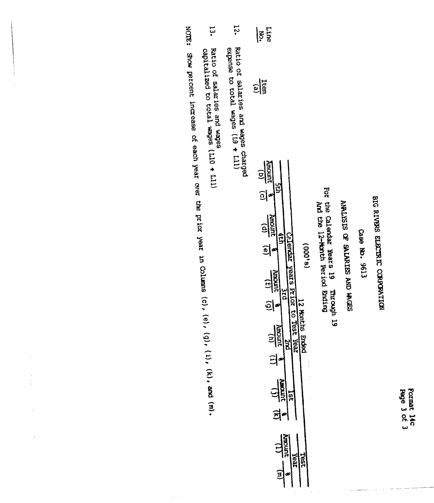Page 3 of 3 Format 14c

## BIG RIVERS ELECTRIC CORPORTION

## Case No. 9613

## ANALYSIS OF SALARIES AND WOESS

For the Calendar Years 19<br>Por the Calendar Years 19<br>And the 12-Month Period Ending

|                       | $\leq \frac{1}{2}$                                                                                                                                                                                                                                                    |
|-----------------------|-----------------------------------------------------------------------------------------------------------------------------------------------------------------------------------------------------------------------------------------------------------------------|
|                       | $\frac{1}{2}$                                                                                                                                                                                                                                                         |
| $\sum_{n=1}^{\infty}$ | $\frac{10}{100}$ (c)<br><b>Amount</b> (e)<br><b>Zebnar</b><br>(9,000)<br>years k<br><b>Amount</b><br>$\frac{1}{2}$<br>š<br><u>ခ</u> ါ့<br><b>12 Months</b><br><b>Rinout</b><br><b>Ended</b><br>ジス<br>ಗಲಾ<br>$\exists$<br>一直<br>의<br><b>LEO</b><br>ន្ត្រី<br>rear<br>E |

- 12. Ratio of salaries and wages charged<br>expense to total wages (L9 + Lill)
- Ratio of salaries and wages<br>capitalized to total wages (L10 + L11)

NOTE: Show percent increase of each year over the prior year in Columns (c), (e), (d), (i), (k), and (m).

 $\bar{z}_i$ 

 $\bar{z}$ 

 $\begin{array}{c} \mathbf{1} \\ \mathbf{1} \\ \mathbf{1} \\ \mathbf{1} \\ \mathbf{1} \\ \mathbf{1} \end{array}$ 

 $\frac{1}{2}$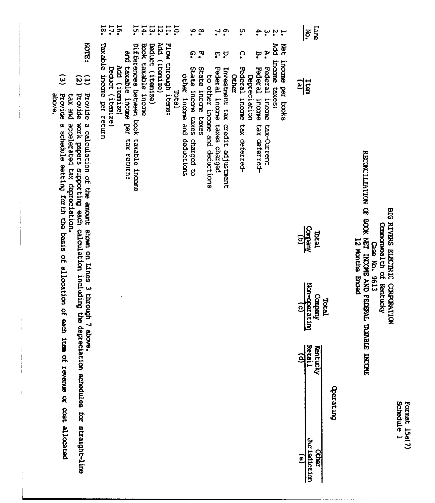| L. |
|----|
|----|

# BIG RIVERS ELECTRIC CORPORATION<br>Component the of Kentucky<br>RECONCILIATION OF BOOK NET INCOHE RAID FEDERAL TAXABLE INCOHE<br>RECONCILIATION OF BOOK NET RAID FEDERAL TAXABLE INCOHE

| ្មី ភូមិ                                                                   | $\frac{1}{3}$                    |
|----------------------------------------------------------------------------|----------------------------------|
| Net income per books<br>Add income taxes:<br>A. Federal income tax-Current | $\frac{1}{2}$                    |
|                                                                            | Total<br>Company                 |
|                                                                            | Tocal<br>Company<br>Non-operatin |
|                                                                            | Retai.<br>Kentucky               |
|                                                                            | Jur isdicti<br><b>Ochei</b><br>ø |

|                                                                                                        | $\frac{1}{2}$<br>$\ddot{ }$<br>$\ddot{\bm{c}}$<br>$ \frac{1}{2}$ $\alpha$ $\frac{1}{2}$ $\frac{1}{2}$ $\frac{1}{2}$<br>$\dot{\mathbf{S}}$<br>$\cdot \cdot$<br>و. د<br>័្<br>4.<br>$\ddot{a}$ is $\ddot{a}$ .                                                                                                                                                                                                                                                                        | ह<br>!<br>art.                                   |
|--------------------------------------------------------------------------------------------------------|-------------------------------------------------------------------------------------------------------------------------------------------------------------------------------------------------------------------------------------------------------------------------------------------------------------------------------------------------------------------------------------------------------------------------------------------------------------------------------------|--------------------------------------------------|
| <b>KOTE:</b>                                                                                           | न<br>न<br>À.<br>ဂ္<br>ربي.<br>و<br>္<br>ņ<br>ច្<br>ঢ়                                                                                                                                                                                                                                                                                                                                                                                                                               |                                                  |
| $\widetilde{\mathcal{E}}$                                                                              | Add (itemize)<br>Taxable income per return<br>Flow through items:<br>Differences between book taxable income<br>Book taxable incone<br>Add income taxes:<br>Deduct (itemize)<br>and taxable income per tax return:<br>income per books<br>Add (itemize)<br>State income taxes charged to<br>Federal income taxes charged<br>State income taxes<br>Federal income tax deferred-<br>Federal incone<br>Federal income<br>Decuct (itemize)<br>Investment tax credit adjustment<br>Other | 입                                                |
| tax and accelerated tax depreciation.                                                                  | <b>Depreciation</b><br>Istal                                                                                                                                                                                                                                                                                                                                                                                                                                                        |                                                  |
|                                                                                                        |                                                                                                                                                                                                                                                                                                                                                                                                                                                                                     |                                                  |
|                                                                                                        | other income and deductions<br>to other income and deductions<br>tax-Current<br>tax deferred-                                                                                                                                                                                                                                                                                                                                                                                       |                                                  |
|                                                                                                        |                                                                                                                                                                                                                                                                                                                                                                                                                                                                                     |                                                  |
|                                                                                                        |                                                                                                                                                                                                                                                                                                                                                                                                                                                                                     |                                                  |
|                                                                                                        |                                                                                                                                                                                                                                                                                                                                                                                                                                                                                     |                                                  |
|                                                                                                        |                                                                                                                                                                                                                                                                                                                                                                                                                                                                                     | <b>Rueding</b><br><b>Teach</b>                   |
|                                                                                                        |                                                                                                                                                                                                                                                                                                                                                                                                                                                                                     |                                                  |
| Provide a calculation of the anount shown on Lines 3 through 7 above.                                  |                                                                                                                                                                                                                                                                                                                                                                                                                                                                                     |                                                  |
|                                                                                                        |                                                                                                                                                                                                                                                                                                                                                                                                                                                                                     | Non-operating<br>Non-operating<br><b>Kueduon</b> |
| Provide work papers supporting each calculation including the depreciation schedules for straight-line |                                                                                                                                                                                                                                                                                                                                                                                                                                                                                     |                                                  |
|                                                                                                        |                                                                                                                                                                                                                                                                                                                                                                                                                                                                                     |                                                  |
|                                                                                                        |                                                                                                                                                                                                                                                                                                                                                                                                                                                                                     | Retail<br>Kentucky<br>$\widehat{\mathbf{e}}$     |
|                                                                                                        |                                                                                                                                                                                                                                                                                                                                                                                                                                                                                     |                                                  |
|                                                                                                        |                                                                                                                                                                                                                                                                                                                                                                                                                                                                                     |                                                  |
|                                                                                                        |                                                                                                                                                                                                                                                                                                                                                                                                                                                                                     |                                                  |
|                                                                                                        |                                                                                                                                                                                                                                                                                                                                                                                                                                                                                     | Jurisdicti<br><b>DCIRE</b><br><u>ିକ</u>          |
| of revenue or cost allocated                                                                           |                                                                                                                                                                                                                                                                                                                                                                                                                                                                                     |                                                  |

أمسه أمسه أمسه أمسه

 $\frac{1}{2}$ 

 $\bar{1}$ ÷

÷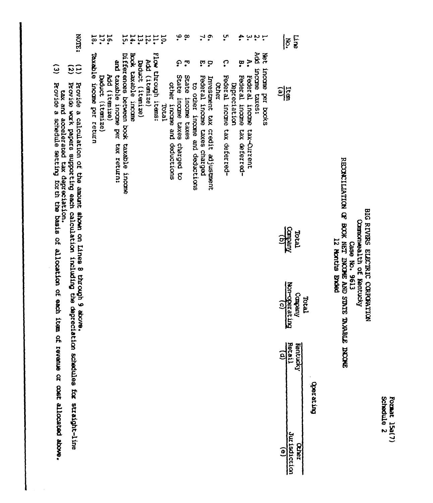# BIG RIVES ELECTRIC CORPANTION<br>Componently of Kentucky<br>RECONCILIATION OF BOOK NET INCOUR AND STATE TANABLE INCOUR<br>RECONCILIATION OF BOOK NET INCOUR BAGE AND STATE TANGE

| 18.                       | 16.              |               |                                       |                                            |                     |                  | $\begin{minipage}{.4\linewidth} \begin{tabular}{l} \multicolumn{1}{l} \multicolumn{1}{l} \multicolumn{1}{l} \multicolumn{1}{l} \multicolumn{1}{l} \multicolumn{1}{l} \multicolumn{1}{l} \multicolumn{1}{l} \multicolumn{1}{l} \multicolumn{1}{l} \multicolumn{1}{l} \multicolumn{1}{l} \multicolumn{1}{l} \multicolumn{1}{l} \multicolumn{1}{l} \multicolumn{1}{l} \multicolumn{1}{l} \multicolumn{1}{l} \multicolumn{1}{l} \multicolumn{1}{l} \multicolumn{1}{l} \multicolumn{1}{l} \mult$ |                     |       |                             | $\frac{1}{2}$                               |                          |                                | $\mathbf{L}$                       | $\tilde{\mathbf{c}}$                   |              | ں<br>•                             |              |                                       |                                  | ភ្នំពុក           |                      |                | mine<br><b>Ro.</b>           |       |                 |  |
|---------------------------|------------------|---------------|---------------------------------------|--------------------------------------------|---------------------|------------------|---------------------------------------------------------------------------------------------------------------------------------------------------------------------------------------------------------------------------------------------------------------------------------------------------------------------------------------------------------------------------------------------------------------------------------------------------------------------------------------------|---------------------|-------|-----------------------------|---------------------------------------------|--------------------------|--------------------------------|------------------------------------|----------------------------------------|--------------|------------------------------------|--------------|---------------------------------------|----------------------------------|-------------------|----------------------|----------------|------------------------------|-------|-----------------|--|
| Taxable income per return | Deduct (itemize) | Add (itenize) | and taxable income per<br>tax return: | Differences between book<br>taxable income | Book taxable income | Daduct (itemize) | Add (itenize)                                                                                                                                                                                                                                                                                                                                                                                                                                                                               | Flow through items: | Intol | other income and deductions | <u>ဂ</u> ္<br>State income taxes charged to | ុច<br>State income taxes | to other income and deductions | ឆ្<br>Pederal income taxes charged | င့<br>Investment tax credit adjustment | <b>Ocher</b> | ဂ့<br>Federal income tax deferred- | Depreciation | å.<br>Federal income<br>Lax deferred- | À.<br>Federal income tax-Current | Add income taxes: | Net incone per books | 퍫              |                              |       |                 |  |
|                           |                  |               |                                       |                                            |                     |                  |                                                                                                                                                                                                                                                                                                                                                                                                                                                                                             |                     |       |                             |                                             |                          |                                |                                    |                                        |              |                                    |              |                                       |                                  |                   |                      | <b>Ruegust</b> | <b>Total</b>                 |       |                 |  |
|                           |                  |               |                                       |                                            |                     |                  |                                                                                                                                                                                                                                                                                                                                                                                                                                                                                             |                     |       |                             |                                             |                          |                                |                                    |                                        |              |                                    |              |                                       |                                  |                   |                      | Won-operating  | Company                      | Intal |                 |  |
|                           |                  |               |                                       |                                            |                     |                  |                                                                                                                                                                                                                                                                                                                                                                                                                                                                                             |                     |       |                             |                                             |                          |                                |                                    |                                        |              |                                    |              |                                       |                                  |                   |                      |                | Retail<br>Td<br>Kantucky     |       |                 |  |
|                           |                  |               |                                       |                                            |                     |                  |                                                                                                                                                                                                                                                                                                                                                                                                                                                                                             |                     |       |                             |                                             |                          |                                |                                    |                                        |              |                                    |              |                                       |                                  |                   |                      | $\widehat{e}$  | Jurisdiction<br><b>Ocher</b> |       | <b>Durapida</b> |  |

- 
- **NOTE:**  $\widetilde{\omega}$ Provide a calculation of the amount shown on Lines 8 through 9 above.<br>Provide work papers supporting each calculation including the depreciation schedules for straight-line<br>Provide a schedule setting forth the basis of all
- $\hat{c}$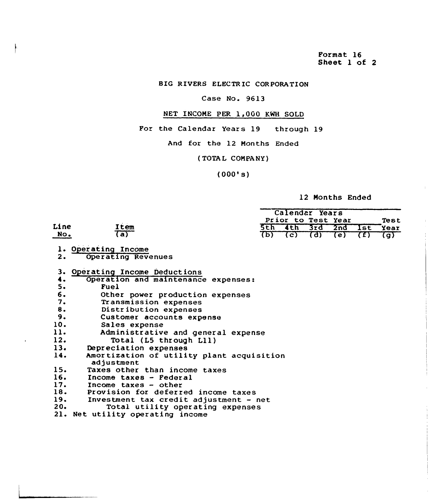Format 16 Sheet 1 of 2

### BIG RIUERS ELECTRIC CORPORATION

### Case No. 9613

## NET INCOME PER 1,000 KWH SOLD

For the Calendar Years 19 through 19

And for the 12 Months Ended

(TOTAL COMPANY)

 $(000's)$ 

### 12 Months Ended

|      |                                                         |     | Calendar Years     |         |                |     |            |
|------|---------------------------------------------------------|-----|--------------------|---------|----------------|-----|------------|
|      |                                                         |     | Prior to Test Year |         |                |     | Test       |
| Line | Item                                                    | 5th |                    | 4th 3rd | 2nd            | lst | Year       |
| No.  | (a)                                                     | क्र | $\overline{c}$     | ख्य     | $\overline{e}$ | (f) | <u>(a)</u> |
|      | 1. Operating Income                                     |     |                    |         |                |     |            |
| 2.   | Operating Revenues                                      |     |                    |         |                |     |            |
| з.   | Operating Income Deductions                             |     |                    |         |                |     |            |
| 4.   | Operation and maintenance expenses:                     |     |                    |         |                |     |            |
| 5.   | Fuel                                                    |     |                    |         |                |     |            |
| 6.   | Other power production expenses                         |     |                    |         |                |     |            |
| 7.   | Transmission expenses                                   |     |                    |         |                |     |            |
| 8.   | Distribution expenses                                   |     |                    |         |                |     |            |
| 9.   | Customer accounts expense                               |     |                    |         |                |     |            |
| 10.  | Sales expense                                           |     |                    |         |                |     |            |
| 11.  | Administrative and general expense                      |     |                    |         |                |     |            |
| 12.  | Total (L5 through L11)                                  |     |                    |         |                |     |            |
| 13.  | Depreciation expenses                                   |     |                    |         |                |     |            |
| 14.  | Amortization of utility plant acquisition<br>adjustment |     |                    |         |                |     |            |
| 15.  | Taxes other than income taxes                           |     |                    |         |                |     |            |
| 16.  | Income taxes - Federal                                  |     |                    |         |                |     |            |
| 17.  | Income taxes - other                                    |     |                    |         |                |     |            |
| 18.  | Provision for deferred income taxes                     |     |                    |         |                |     |            |
| 19.  | Investment tax credit adjustment - net                  |     |                    |         |                |     |            |
| 20.  | Total utility operating expenses                        |     |                    |         |                |     |            |
|      | 21. Net utility operating income                        |     |                    |         |                |     |            |
|      |                                                         |     |                    |         |                |     |            |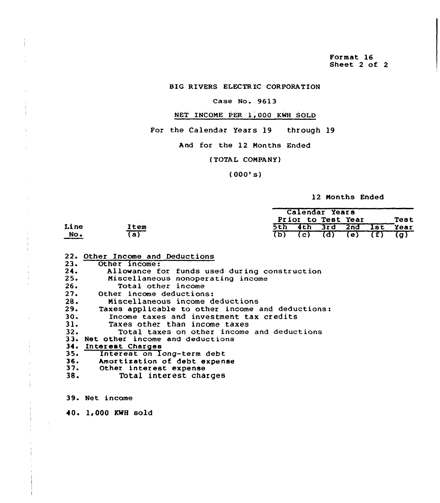Format 16 Sheet 2 of 2

BIG RIVERS ELECTR IC CORPORATION

### Case No. 9613

## NET INCOME PER 1,000 KWH SOLD

For the Calendar Years 19 through 19

And for the 12 Months Ended

(TOTAL COMPANY)

 $(000's)$ 

### 12 Months Ended

|                           |                | Calendar Years             |
|---------------------------|----------------|----------------------------|
|                           |                | Prior to Test Year<br>Test |
| Line                      | Item           | 5th 4th 3rd 2nd Ist Year   |
| $\underline{\text{No}}$ . | $\overline{a}$ | $(b)$ (c) (d) (e) (f) (g)  |

|     | 22. Other Income and Deductions                  |
|-----|--------------------------------------------------|
| 23. | Other income:                                    |
| 24. | Allowance for funds used during construction     |
|     | 25.<br>Miscellaneous nonoperating income         |
| 26. | Total other income                               |
| 27. | Other income deductions:                         |
| 28. | Miscellaneous income deductions                  |
| 29. | Taxes applicable to other income and deductions: |
| 30. | Income taxes and investment tax credits          |
| 31. | Taxes other than income taxes                    |
| 32. | Total taxes on other income and deductions       |
|     | 33. Net other income and deductions              |
|     | 34. Interest Charges                             |
|     | 35. Interest on long-term debt                   |
|     | 36. Amortization of debt expense                 |
|     | 37. Other interest expense                       |
| 38. | Total interest charges                           |

39. Net income

 $\bar{\gamma}$ 

40. 1,000 KWH sold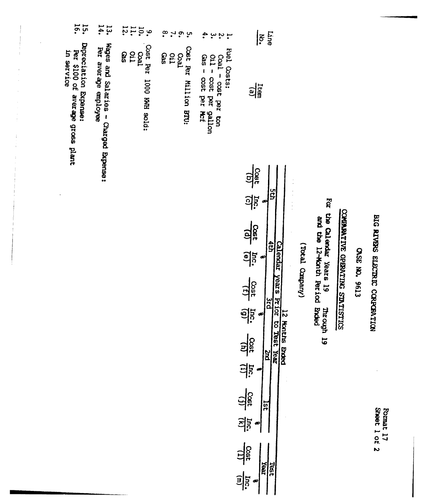| $\frac{13}{14}$                                               | $q = \frac{1}{2}$                            | $\infty$<br>$\sim$ 9.<br>ပ္ပ          |                                                                                           | Line<br><u>နြ</u>                                                                                                                                                                                                                                                                                                                              |
|---------------------------------------------------------------|----------------------------------------------|---------------------------------------|-------------------------------------------------------------------------------------------|------------------------------------------------------------------------------------------------------------------------------------------------------------------------------------------------------------------------------------------------------------------------------------------------------------------------------------------------|
| Wages and Salaries - Charged Expense:<br>Per average employee | Cost Per 1000 KWH sold:<br>ទី<br>ខេត្ត<br>ខេ | Cost Per Million BTU:<br>လချ<br>ပြင်း | Fuel Costs:<br>$0i1 - \cos t$ per gallon<br>Gas - $\cos t$ per Mcf<br>Coal - cost per ton | $\frac{1}{2}$                                                                                                                                                                                                                                                                                                                                  |
|                                                               |                                              |                                       |                                                                                           | Cost mc.<br>9g<br>dØ<br>19 19 19<br>$\frac{1}{2}$<br>Calendar years Prior to Test Year<br>(Yotal Company)<br>$\frac{1}{(1)}$ $\frac{1}{(1)}$<br>ia<br>Da<br>$\frac{\cos t}{\ln t} = \frac{\ln c}{(1)}$<br>2nd<br>$\frac{\cos t}{\sqrt{11}}$ $\frac{\pi c}{\pi}$ .<br>$\frac{1}{3}$<br>$\frac{\cos t}{(1)} = \frac{\ln c}{(m)}$<br>Year<br>Test |
|                                                               |                                              |                                       |                                                                                           |                                                                                                                                                                                                                                                                                                                                                |

 $15.$ 

Depreciation Expense:<br>Per \$100 of average gross plant<br>in service

l,

 $\begin{array}{c} \frac{1}{2} \\ \frac{1}{2} \\ \frac{1}{2} \end{array}$ 

BIG RIVERS ELECTRIC CORPORATION

CASE NO. 9613

COMPARATIVE OPERATING STATISTICS

For the Calendar Years 19 Through 19<br>and the 12-Month Period Ended

Format 17<br>Sheet 1 of 2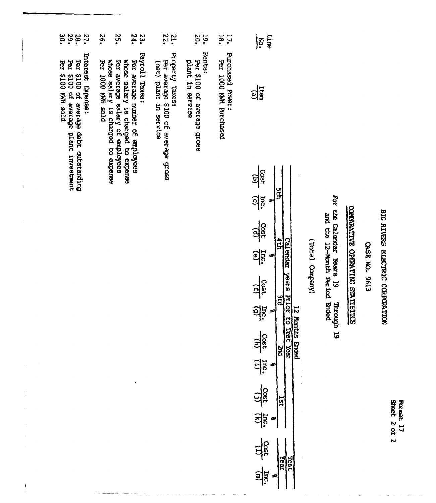| SAR | ğ |
|-----|---|
| m   | B |
|     | r |
| ႙   | ∽ |
| ⊾   |   |

## BIG RIVERS ELECTRIC CORPORTION

## CASE NO. 9613

## COMPARATIVE OPERATING SIATISTICS

## For the Calendar Years 19<br>19 the 12-Month Period Boded<br>19 the 12-Month Period Boded

## (Vneqno LeacT)

| í            | $\leqslant$                       |         |                     |           |
|--------------|-----------------------------------|---------|---------------------|-----------|
| フェーデンシン プラス・ | 흮                                 |         |                     |           |
|              | 035 mc.                           | sa<br>S |                     |           |
|              | $\frac{1}{25}$<br>$\frac{1}{2}$   | Ş       | <b>Calendar</b>     |           |
|              | $\frac{10}{(1)}$ $\frac{11}{(1)}$ |         | years Prior to Test |           |
|              | $\frac{1}{2}$<br>력                |         |                     | 12 Months |
|              | $\frac{1}{2}$<br><u> 하다</u>       |         |                     |           |
|              | $\frac{1}{2}$<br>$\frac{1}{2}$    | Year    | <b>Test</b>         |           |

- $1.6.$ FULCUSERO FOWEL:
- Dez 1000 KWH Purchased
- Rents:
- $30.20$ Per \$100 of average gross
- plant in service
- Property Taxes:
- 22. Per average \$100 of average gross<br>(net) plant in service
- Payroll Taxes:
- 23. Per average number of employees
- $52.$ whose salary is charged to expense Per average salary of employees
- whose salary is charged to expense
- .92 **PLOB** HWN 0001 194
- 
- Interest Expense:<br>Per \$100 of average debt cutstanding<br>Per \$100 of average plant investment<br>Per \$100 KWH sold
	-
- 
- $\frac{288}{2090}$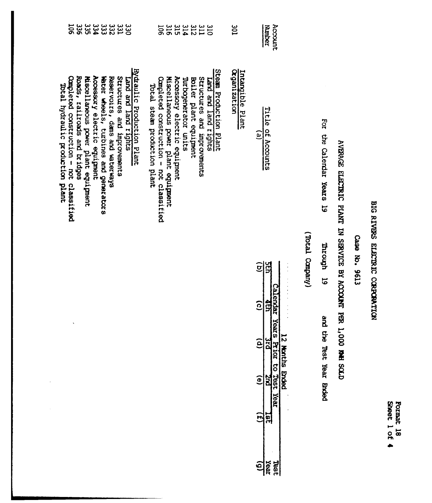| <b>១១១១១១ភូមិ</b><br>ភូមិក្នុងភូមិក្នុង<br>Hydraulic Production Plant<br>Structures and improvements<br>Land and land rights | 31124456<br>2112456<br><b>JQ6</b><br>Steam Production Plant<br>Accessory electric equipment<br>Miscellaneous power plant equipment<br>Structures and improvements<br>Completed construction - not classified<br>Turbogenerator units<br>Boiler plant equipment<br>Land and land rights<br>Total steam production plant | iog<br><b>Organization</b><br>Intangible Plant | Account<br><b>Nunber</b><br>Title of Accounts<br><u>์อ</u><br>9ED<br>$\widehat{\mathbf{e}}$<br><b>Calendar</b><br>虹<br>$\widehat{\mathbf{e}}$<br><b>Years</b><br><b>PIE</b><br>ê | (Vineques LeadTy) | For the Calendar Years 19<br>Through 19 | AVERAGE ELECTRIC PLANT IN SERVICE BY ACCOUNT PER 1,0 | CTOC 'CN' DEPO |
|------------------------------------------------------------------------------------------------------------------------------|------------------------------------------------------------------------------------------------------------------------------------------------------------------------------------------------------------------------------------------------------------------------------------------------------------------------|------------------------------------------------|----------------------------------------------------------------------------------------------------------------------------------------------------------------------------------|-------------------|-----------------------------------------|------------------------------------------------------|----------------|
|                                                                                                                              |                                                                                                                                                                                                                                                                                                                        |                                                | 12 Months Ended<br>Prior to Test Year<br>$\widehat{\mathbf{e}}$<br>E<br>ë<br>18]                                                                                                 |                   | and the Test Year Bnded                 | <b>CLOS HAR OO</b>                                   |                |

Lieu<br>Vent<br>John

Format 18<br>Sheet 1 of 4

## BIG RIVESS ELECTRIC CORPORATION

Case No. 9613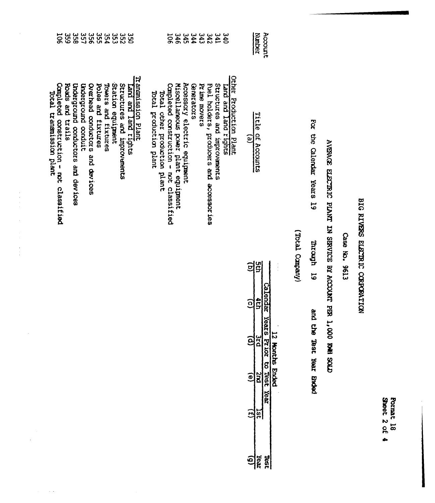| <b>Sheet</b><br>o | <b>PRIDE</b> |
|-------------------|--------------|
|                   |              |

Case No. 9613

AVENAGE ELECTRIC PLANT IN SENVICE BY ACCOUNT PER 1,000 RMH SOLD

For the Calendar Years 19 mrough 19 and the Test Year Brood

(Viequo Company)

 $\frac{1}{2}$ 

| Account                       |                                                                     |         | Calendar      | Years        | Prior to Test Year     |    |
|-------------------------------|---------------------------------------------------------------------|---------|---------------|--------------|------------------------|----|
| Number                        | Title of Accounts                                                   | ဌ<br>អូ | de            | $rac{1}{25}$ | $\overline{\text{cm}}$ | ίņ |
|                               | $\widehat{e}$                                                       | ଟ୍ର     | $\widehat{c}$ | ସି           | $\widehat{\mathbf{e}}$ | E  |
|                               | Other Production Plant                                              |         |               |              |                        |    |
|                               | Lard and Land rights                                                |         |               |              |                        |    |
|                               | structures and mprovements                                          |         |               |              |                        |    |
|                               | Fuel holders, producers and accessories                             |         |               |              |                        |    |
| Prime movers                  |                                                                     |         |               |              |                        |    |
| Genevators                    |                                                                     |         |               |              |                        |    |
|                               | Accessory electric equipment                                        |         |               |              |                        |    |
|                               | Miscellaneous power plant equipment                                 |         |               |              |                        |    |
| 505                           | Completed construction - not classified                             |         |               |              |                        |    |
|                               | Total other production plant                                        |         |               |              |                        |    |
|                               | Total production plant                                              |         |               |              |                        |    |
|                               | Transmission Plant<br>Land and land tights                          |         |               |              |                        |    |
| 3<br>505555555555<br>50555555 | Structures and improvements                                         |         |               |              |                        |    |
|                               | Station equipment                                                   |         |               |              |                        |    |
|                               | Towers and fixtures                                                 |         |               |              |                        |    |
|                               | Poles and fixtures                                                  |         |               |              |                        |    |
|                               | Overhead conductors and devices                                     |         |               |              |                        |    |
|                               | Underground conduit                                                 |         |               |              |                        |    |
|                               | Underground conductors and devices                                  |         |               |              |                        |    |
|                               | Roads and trails                                                    |         |               |              |                        |    |
| <b>106</b>                    | Completed construction - not classified<br>Total transmission plant |         |               |              |                        |    |

 $\hat{\mathcal{A}}$ 

 $\frac{1}{\sqrt{2}}$ 

 $\begin{array}{c} 1 \\ 1 \\ 3 \end{array}$ 

 $\hat{\beta}$  .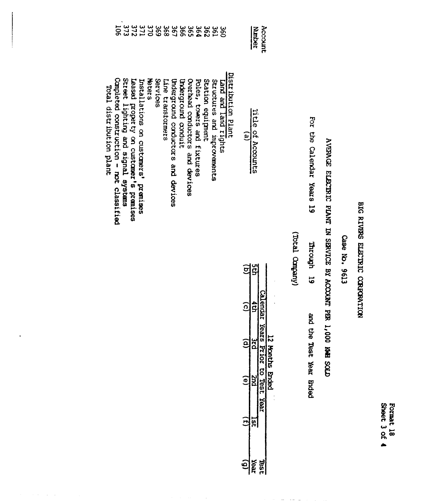Format 18<br>Sheet 3 of 4

## BIG RIVERS ELECTRIC CORPORTION

## Case No. 9613

# AVERAGE ELECTRIC PLANT IN SERVICE BY ACCOUNT PER 1,000 KWH SOLD

For the Calendar Years 19 Through 19 and the Test Year Ended

(Total Company)

 $\overline{(\underline{i})}$ **Tst** 

 $\frac{15}{150}$ 

| Account       |                                         |                        | Calendar Yea  | 12 Months Ended<br>$\frac{3rd}{3rd}$<br>$\frac{3rd}{3rd}$<br>$\frac{2nd}{3md}$<br>(e)<br>(e) |  |
|---------------|-----------------------------------------|------------------------|---------------|----------------------------------------------------------------------------------------------|--|
| <b>Nunber</b> | litle of Accounts                       | g<br>G                 | 4<br>S        |                                                                                              |  |
|               | $\mathbf{\hat{e}}$                      | $\widehat{\mathbf{e}}$ | $\widehat{c}$ |                                                                                              |  |
|               | Distribution Plant                      |                        |               |                                                                                              |  |
|               | cand and land rights                    |                        |               |                                                                                              |  |
|               | Structures and mprovements              |                        |               |                                                                                              |  |
|               | Station equipment                       |                        |               |                                                                                              |  |
|               | Poles, towers and fixtures              |                        |               |                                                                                              |  |
|               | Overhead conductors and devices         |                        |               |                                                                                              |  |
|               | Underground conduit                     |                        |               |                                                                                              |  |
| 38282828      | Briderground conductors and devices     |                        |               |                                                                                              |  |
|               | Line transtormers                       |                        |               |                                                                                              |  |
| 389           | Services                                |                        |               |                                                                                              |  |
|               | <b>Meters</b>                           |                        |               |                                                                                              |  |
| 375<br>272    | Installations on customers' premises    |                        |               |                                                                                              |  |
|               | Leased property on customer's premises  |                        |               |                                                                                              |  |
| 373           | street lighting and signal systems      |                        |               |                                                                                              |  |
| 50            | Campleted construction - not classified |                        |               |                                                                                              |  |
|               | Total distribution plant                |                        |               |                                                                                              |  |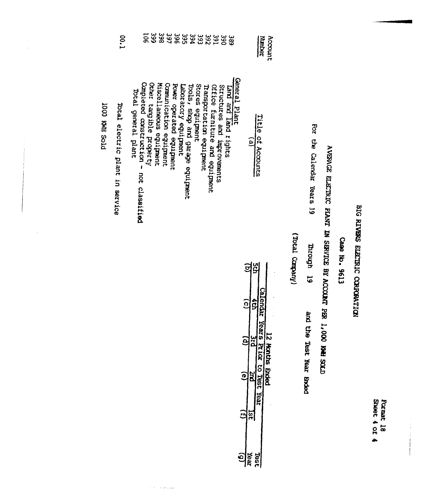| <b>Shee?</b> | ĝ |
|--------------|---|
| ၀့           | B |
|              |   |

## Case No. 9613

# AVERAGE ELECTRIC PLANT IN SERVICE BY ACCOUNT PER 1,000 KWH SOLD

For the Calendar Years 19

mrough 19 and the Test Year brded

(Total Company)

| 00.1                            | 368                                                                                                                                                                                                                                                                                                                                                                                               | Account<br><b>Nunber</b>                                               |
|---------------------------------|---------------------------------------------------------------------------------------------------------------------------------------------------------------------------------------------------------------------------------------------------------------------------------------------------------------------------------------------------------------------------------------------------|------------------------------------------------------------------------|
| Total electric plant in service | General Plant<br>Campleted construction - not classified<br>Other tangible property<br>Miscellaneous equipment<br>Communication equipment<br>Power operated equipment<br>Stores equipment<br>Office furniture and equipment<br>Laboratory equipment<br>Tools, shop and garage equipment<br>Transportation equipment<br>Structures and improvements<br>Land and land rights<br>Total general plant | Title of Accounts<br>$\tilde{e}$                                       |
|                                 |                                                                                                                                                                                                                                                                                                                                                                                                   | u<br>5<br>$\bf \overline{e}$<br><b>Calendar</b><br>Ş<br>$\overline{6}$ |

and a straight

PTOS HAN 000T

| $\overline{\Omega}$ | ដិ     | <b>REDUGLE</b>   |                 |
|---------------------|--------|------------------|-----------------|
|                     | i<br>t | Years Prior to 1 | copies shock 2. |
| o                   |        | Ş                |                 |
|                     | ົດ     | reax             |                 |
| rə<br>R             | ន្ត្រី |                  |                 |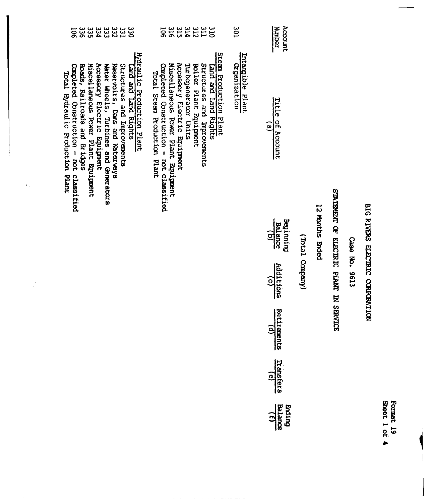|                       |                                                                                                                                                                                                                                                                                                                                                    |                                                                                                                                                                                                                                                                                   |                                  | Balance<br>Brithd<br><u>त्री</u>              |                   |                                     |          |                                 | Format 19<br>Sheet 1 of |
|-----------------------|----------------------------------------------------------------------------------------------------------------------------------------------------------------------------------------------------------------------------------------------------------------------------------------------------------------------------------------------------|-----------------------------------------------------------------------------------------------------------------------------------------------------------------------------------------------------------------------------------------------------------------------------------|----------------------------------|-----------------------------------------------|-------------------|-------------------------------------|----------|---------------------------------|-------------------------|
|                       |                                                                                                                                                                                                                                                                                                                                                    |                                                                                                                                                                                                                                                                                   |                                  | Retirements<br>$\mathbf{e}$<br>Transfers<br>ව |                   |                                     |          |                                 |                         |
|                       |                                                                                                                                                                                                                                                                                                                                                    |                                                                                                                                                                                                                                                                                   |                                  | <b>Additions</b><br><u>ତି</u>                 | (Vineque) Isacry) |                                     | ET96     | BIG RIVERS ELECTRIC CORRORATION |                         |
|                       |                                                                                                                                                                                                                                                                                                                                                    |                                                                                                                                                                                                                                                                                   |                                  | Beginning<br>Balance<br><u>ମ</u>              | 12 Months Brded   | SINGLE OF ELECTRIC PLANT IN SERVICE | Case No. |                                 |                         |
| $\mathbb{C}_{\geq 1}$ | Hydraulic Production Plant<br>Miscellaneous Power Plant Equipment<br>Accessory Electric Equipment<br>Reservoirs, Dans and Waterways<br>Roads, Railroads and Bridges<br>Structures and Improvements<br>Completed Construction - not classified<br>Water Wheels, Turbines and Generators<br>Land and Land Rights<br>Total Hydraulic Production Plant | Steam Production Plant<br>Miscellaneous Power Plant Equipment<br>Accessory Electric Equipment<br>structures and Improvements<br>Completed Construction - not classified<br>Turbagenerator Units<br>Boiler Plant Equipment<br>Land and Land Rights<br>Total Steam Production Plant | Intargible Plant<br>Organization | Title<br>of Account<br>$\widehat{e}$          |                   |                                     |          |                                 |                         |
|                       | <b>33333333333</b><br>ភូមិ ក្នុង ភូមិ ភូមិ<br><b>106</b>                                                                                                                                                                                                                                                                                           | 312<br>311490<br><b>SLO</b>                                                                                                                                                                                                                                                       | 10 <sup>2</sup>                  | Account<br>Nunber<br>Noder                    |                   |                                     |          |                                 |                         |

 $\omega_{\rm{eff}}$  and  $\omega_{\rm{eff}}$ 

 $\sim 10^4$ 

 $\mathcal{L}_{\mathcal{A}}$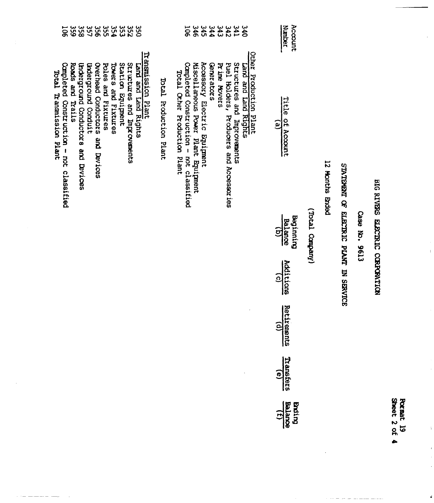| <b>Sheet</b> | ĝ<br>E |
|--------------|--------|
|              |        |
| ዪ            | ត      |
| ٠            |        |

 $\ddot{\phantom{a}}$ 

 $\begin{array}{cc}\n\bullet & \\
\bullet & \\
\bullet & \\
\bullet & \\
\end{array}$ 

à

## BIG RIVERS ELECTRIC CORPORTION

 $\bar{1}$ 

## Case No. 9613

## STATEMENT OF ELECTRIC PLANT IN SERVICE

## 12 Months Ended

## (Vinequeo Lead)

| Account<br>Number                |  |
|----------------------------------|--|
| itle of $\frac{1}{\tan(\alpha)}$ |  |
| seginnin<br>Balance<br>(b)       |  |
| Additions                        |  |
| Retirements                      |  |
| Transferi                        |  |
| $\frac{1}{\sqrt{1}}$<br>Balance  |  |

## 3333344666 Other Production Plant<br>Land and Land Rights

- Structures and Improvements<br>Puel Holders, Producers and Accessories
- Prime Movers
- Gretators
- 
- Accessory Electric Equipment<br>Miscellaneous Power Plant Equipment
- Completed Construction not classified<br>Total Other Production Plant
	-

Total Production Plant

| Total Transmission Plant                |          |
|-----------------------------------------|----------|
| Completed Construction - not classified | 506      |
| Roads and Trails                        | 339      |
| thderground Conductors and Devices      | 358      |
| Underground Conduit                     | 35<br>27 |
| Overhead Conductors and Devices         | ပ္တင္    |
| Poles and Fixtures                      | ပ္ပ်က္   |
| Powers and Fixtures                     | 35A      |
| Station Equipment                       | ပ္ပိ     |
| Structures and Improvements             | 252      |
| Land and Land Rights                    | ပ္က      |
| Transsubscript                          |          |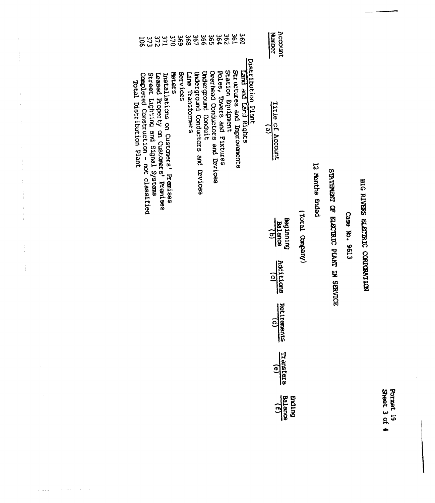Format 19<br>Sheet 3 of 4

## BIG RIVERS ELECTRIC CORPORATION

Case No. 9613

## STATEMENT OF ELECTRIC PLANT IN SERVICE

12 Months Ended

(Vieqna Langery)

| beginnin<br>Balance<br>(b)        |
|-----------------------------------|
| Rdditions                         |
| Retirements<br>COD                |
| Transferi                         |
| $\frac{12}{\sqrt{12}}$<br>Balance |

Account<br>Number

Title of Account

 $(e)$ 

| 373<br><u>ក្កុ</u>                                                                                        | 371<br>372                             | 370                                                   | 369      | <u>မှ</u> ာ       | 367                                | 986                 | ဌာ                              | 364                        | 295               | န္က                         | <u>ဖွ</u>            |                    |
|-----------------------------------------------------------------------------------------------------------|----------------------------------------|-------------------------------------------------------|----------|-------------------|------------------------------------|---------------------|---------------------------------|----------------------------|-------------------|-----------------------------|----------------------|--------------------|
| Street Lighting and Signal Systems<br>Campleted Construction - not classified<br>Total Distribution Plant | Leased Property on Customers' Premises | <b>Meters</b><br>Installations on Customers' Premises | Services | Line Transformers | thderground Conductors and Devices | Underground Conduit | Overhead Conductors and Devices | Poles, Towers and Fixtures | Station Bquipment | structures and Improvements | Lard and Land Rights | Distribution Plant |

 $\bar{\psi}$ 

 $\begin{array}{c} 1 \\ 1 \\ 1 \end{array}$  $\begin{array}{c} \frac{1}{2} \\ \frac{1}{2} \end{array}$ 

 $\frac{1}{4}$ 

 $\frac{1}{2}$ 

 $\frac{1}{2} \left( \frac{1}{2} \right)$ 

 $\bar{z}$ 

 $\omega_{\rm{max}}$  and  $\omega_{\rm{max}}$  are  $\omega_{\rm{max}}$ 

 $\sim$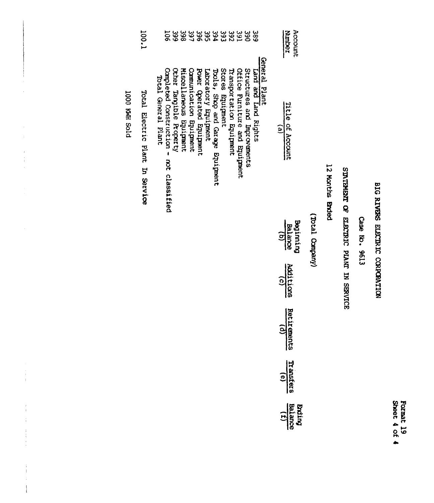## Case No. 9613

## STATEMENT OF ELECTRIC PLANT IN SERVICE

## 12 Months Brided

## (VnequeO LeaoT)

| it le of $\frac{\text{hence}}{\text{hence}}$ |
|----------------------------------------------|
| Beginnin<br>Balance<br>(b)                   |
| Notifione                                    |
| Retirements                                  |
| <b>Transfer:</b>                             |
| $\frac{5}{\text{Balding}}$                   |

Account<br>Namber

|                                                                   | ន្ធខ្ល                  | 366                     | 38667                  |                          |                      |                                  |                  | ន្ធ<br>ភូមិ ភូ           |                                | 390                         | 389                  |               |
|-------------------------------------------------------------------|-------------------------|-------------------------|------------------------|--------------------------|----------------------|----------------------------------|------------------|--------------------------|--------------------------------|-----------------------------|----------------------|---------------|
| Completed Construction -<br>Total General Plant<br>not classified | Other Tangible Property | Miscellaneous Equipment | Communication Buignent | Power Operated Equipment | Laboratory Equipment | Tools, Shop and Garage Equipment | Stores Equipment | Transportation Equipment | Office Furniture and Equipment | Structures and Improvements | Land and Land Rights | General Plant |

100.1

Total Electric Plant In Service

DOO KWH SOLD

 $\bar{1}$ 

 $\bar{z}$ 

 $\begin{array}{c} 1 \\ 1 \\ 2 \end{array}$ 

 $\begin{array}{c} 1 \\ 1 \\ 1 \\ 1 \\ 1 \end{array}$ 

化电子 医单音 医单位

 $\begin{array}{c} \frac{1}{2} & \frac{1}{2} \\ \frac{1}{2} & \frac{1}{2} \end{array}$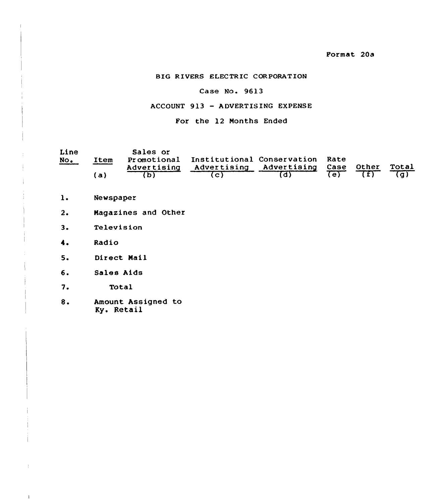### Case No. 9613

## ACCOUNT 913 —ADUERTISING EXPENSE

## For the 12 Months Ended

| Line<br>$NO$ . | Item | Sales or | Promotional Institutional Conservation Rate<br>Advertising Advertising Advertising Case Other |  | Total |
|----------------|------|----------|-----------------------------------------------------------------------------------------------|--|-------|
|                | Έa,  |          |                                                                                               |  |       |

- $1.$ Newspaper
- $2.$ Nagarines and Other
- $3.$ Television
- Radio  $4.1$
- Direct Nail  $5.$
- Sales Aids
- $7.$ Total

 $\mathbf{l}$ 

8. Amount Assigned to Ky. Retail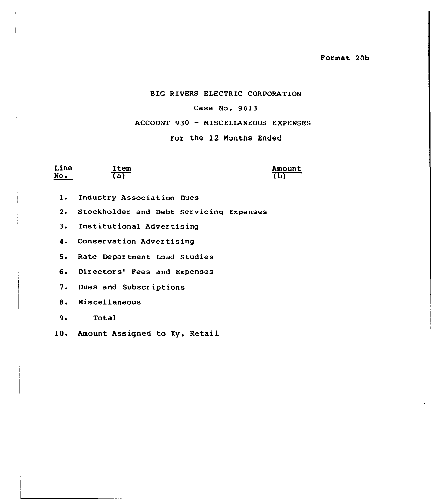Format 2Ab

## BIG RIVERS ELECTRIC CORPORATION

### Case No. 9613

### ACCOUNT 930 — MISCELIANEOUS EXPENSES

### For the 12 Months Ended

| Line | Item           | Amount |
|------|----------------|--------|
| No.  | $\overline{a}$ | 'D)    |

- l. Industry Association Dues
- 2. Stockholder and Debt Servicing Expenses
- 3. Institutional Advertising
- 4. Conservation Advertising

5. Rate Department Load Studies

6. Directors' Fees and Expenses

7. Dues and Subscriptions

8. Miscellaneous

9. Total

10. Amount Assigned to Ky. Retail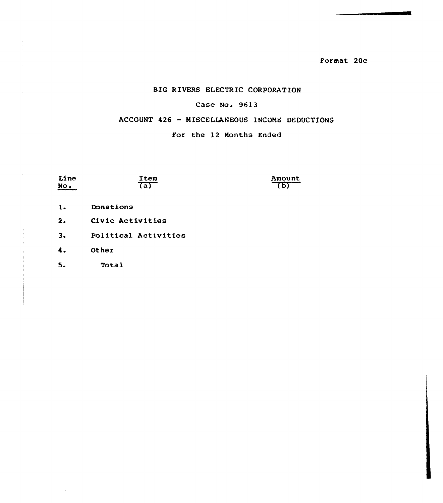Format. 20c

## BIG RIVERS ELECTRIC CORPORATION

### Case No. 9613

## ACCOUNT 426 — MISCELLANEOUS INCOME DEDUCTIONS

### For the 12 months Ended

| Line<br>No.    | Item<br>'a)          | Amount<br>b) |
|----------------|----------------------|--------------|
| $\mathbf{1}$ . | Donations            |              |
| 2.             | Civic Activities     |              |
| 3.             | Political Activities |              |
| 4.             | Other                |              |
| 5.             | Total                |              |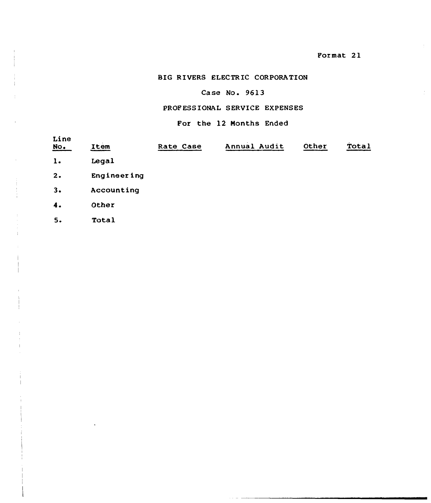## Case No. 9613

## PROF ESSIONAL SERVICE EXPENSES

### For the 12 Months Ended

| Line<br>$\underline{\text{No}}$ . | Item        | Rate Case | Annual Audit | Other | Total |
|-----------------------------------|-------------|-----------|--------------|-------|-------|
| $\mathbf{1}$ .                    | Legal       |           |              |       |       |
| 2.                                | Engineering |           |              |       |       |
| 3.                                | Accounting  |           |              |       |       |
| 4.                                | Other       |           |              |       |       |
| 5.                                | Total       |           |              |       |       |
|                                   |             |           |              |       |       |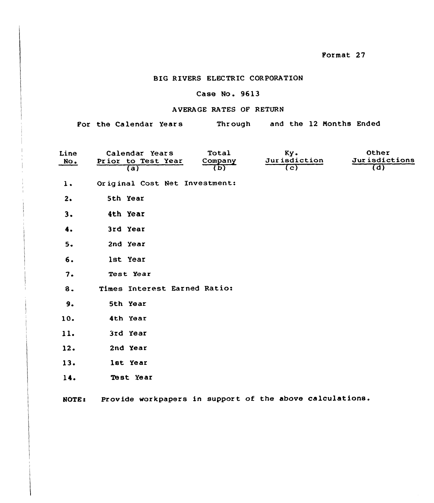## Case No. 9613

## A VERA GE RATES OP RETURN

For the Calendar Years Through and the 12 Months Ended

| Line<br>NO <sub>o</sub> | Calendar Years<br>Prior to Test Year<br>(a) | Total<br>Company<br>का | Ky.<br>Jurisdiction<br>$\overline{(c)}$ | Other<br>Jurisdictions<br>(d) |
|-------------------------|---------------------------------------------|------------------------|-----------------------------------------|-------------------------------|
| 1.                      | Original Cost Net Investment:               |                        |                                         |                               |
| 2.                      | 5th Year                                    |                        |                                         |                               |
| 3.                      | 4th Year                                    |                        |                                         |                               |
| 4.                      | 3rd Year                                    |                        |                                         |                               |
| 5.                      | 2nd Year                                    |                        |                                         |                               |
| 6.                      | lst Year                                    |                        |                                         |                               |
| 7.                      | Test Year                                   |                        |                                         |                               |
| 8.                      | Times Interest Earned Ratio:                |                        |                                         |                               |
| 9.                      | 5th Year                                    |                        |                                         |                               |
| 10.                     | 4th Year                                    |                        |                                         |                               |
| 11.                     | 3rd Year                                    |                        |                                         |                               |
| 12.                     | 2nd Year                                    |                        |                                         |                               |
| 13.                     | lst Year                                    |                        |                                         |                               |
| 14.                     | Test Year                                   |                        |                                         |                               |

NOTE: Provide workpapers in support of the above calculations.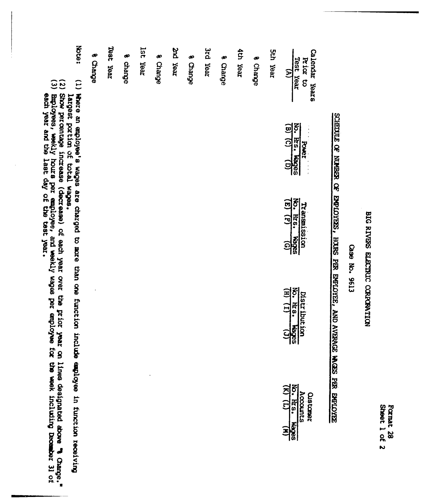| Sheet | 忌 |
|-------|---|
| 3     | జ |
|       |   |

## Crase No. 9613

# SCHEDULE OF NUMBER OF EMPLOYEES, HOURS PER EMPLOYEE, AND AVERAGE MAGES PER EMPLOYEE

| Note:                                                                       | 8 Change | Teey jear | s charge | lst Year | 8 Change | <b>The Year</b> |          | 3rd Year |          | dth Year |          | <b>Sth Year</b> |                                                                           |
|-----------------------------------------------------------------------------|----------|-----------|----------|----------|----------|-----------------|----------|----------|----------|----------|----------|-----------------|---------------------------------------------------------------------------|
|                                                                             |          |           |          |          |          |                 | s Change |          | 8 Change |          | 8 Change |                 | Calendar Years<br>Test Year<br>Prior to<br>$\mathbf{B}$                   |
|                                                                             |          |           |          |          |          |                 |          |          |          |          |          |                 |                                                                           |
| (1) Where an employee's wages are charged to more than one function include |          |           |          |          |          |                 |          |          |          |          |          |                 | No. Hrs. Wages<br><b>Power</b>                                            |
|                                                                             |          |           |          |          |          |                 |          |          |          |          |          |                 |                                                                           |
|                                                                             |          |           |          |          |          |                 |          |          |          |          |          |                 |                                                                           |
|                                                                             |          |           |          |          |          |                 |          |          |          |          |          |                 | No. Hrs. Wages<br>Transmission                                            |
|                                                                             |          |           |          |          |          |                 |          |          |          |          |          |                 |                                                                           |
|                                                                             |          |           |          |          |          |                 |          |          |          |          |          |                 |                                                                           |
|                                                                             |          |           |          |          |          |                 |          |          |          |          |          |                 |                                                                           |
|                                                                             |          |           |          |          |          |                 |          |          |          |          |          |                 | $\frac{W_0}{(H)}$ , $\frac{H_2}{(I)}$ , $\frac{W_0}{(J)}$<br>Distribution |
|                                                                             |          |           |          |          |          |                 |          |          |          |          |          |                 |                                                                           |
|                                                                             |          |           |          |          |          |                 |          |          |          |          |          |                 |                                                                           |
|                                                                             |          |           |          |          |          |                 |          |          |          |          |          |                 |                                                                           |
|                                                                             |          |           |          |          |          |                 |          |          |          |          |          |                 | Customer<br>$\frac{\text{Aocourts}}{\text{No. Hres. Wages}}$              |
| exployee in function receiving                                              |          |           |          |          |          |                 |          |          |          |          |          |                 |                                                                           |
|                                                                             |          |           |          |          |          |                 |          |          |          |          |          |                 |                                                                           |

largest portion of total wages.<br>(2) Employees, weldy hours per employee, and weekly wages per employee for the week including becember 31 of<br>(3) Employees, weekly hours per employee, and weekly wages per employee for the